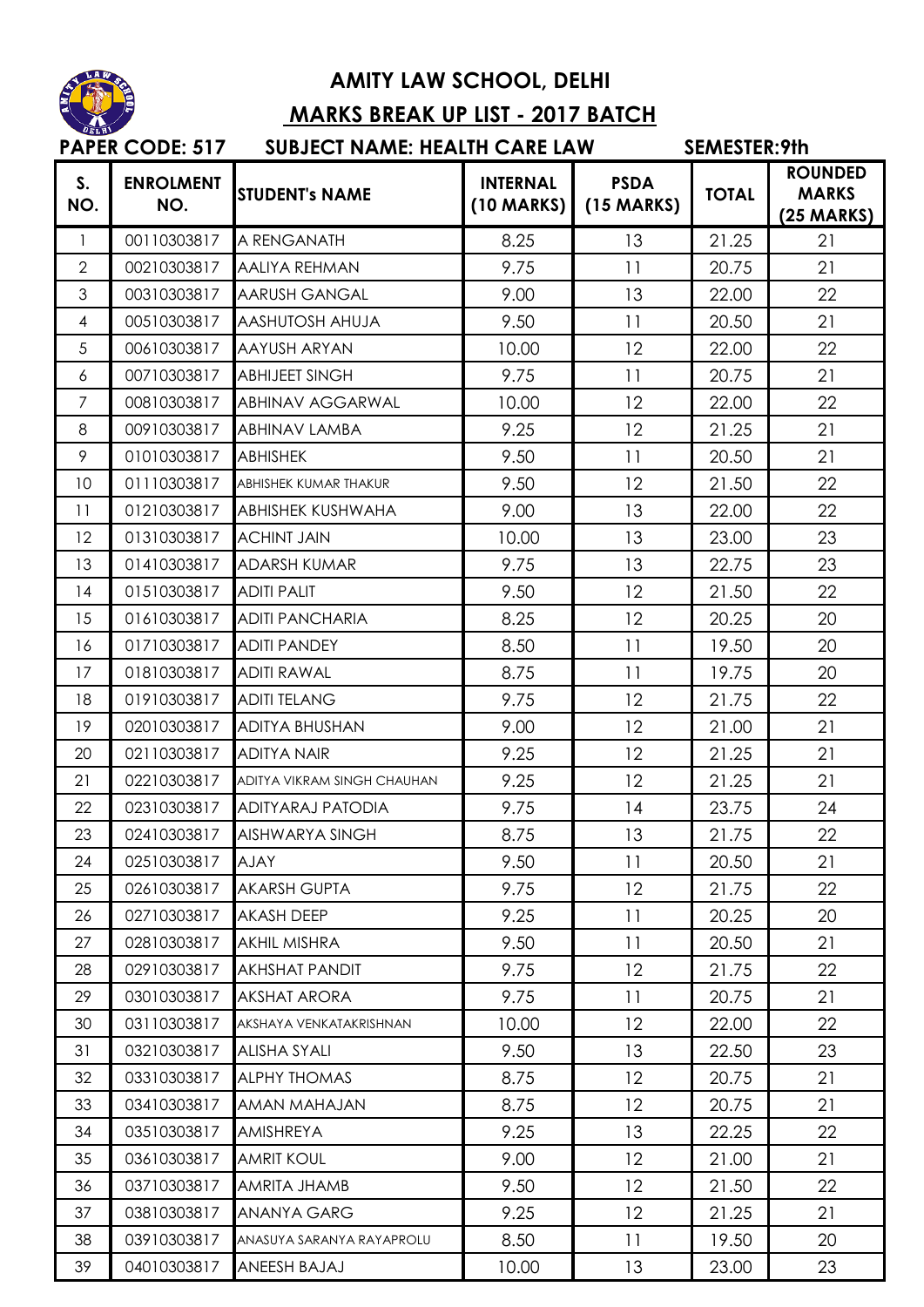

## **AMITY LAW SCHOOL, DELHI MARKS BREAK UP LIST - 2017 BATCH**

|                       | <b>PAPER CODE: 517</b>  | <b>SUBJECT NAME: HEALTH CARE LAW</b> |                                 |                                     | SEMESTER: 9th |                                                |  |
|-----------------------|-------------------------|--------------------------------------|---------------------------------|-------------------------------------|---------------|------------------------------------------------|--|
| S <sub>1</sub><br>NO. | <b>ENROLMENT</b><br>NO. | <b>STUDENT's NAME</b>                | <b>INTERNAL</b><br>$(10$ MARKS) | <b>PSDA</b><br>$(15 \text{ MARKS})$ | <b>TOTAL</b>  | <b>ROUNDED</b><br><b>MARKS</b><br>$(25$ MARKS) |  |
| 1                     | 00110303817             | A RENGANATH                          | 8.25                            | 13                                  | 21.25         | 21                                             |  |
| $\overline{2}$        | 00210303817             | <b>AALIYA REHMAN</b>                 | 9.75                            | 11                                  | 20.75         | 21                                             |  |
| 3                     | 00310303817             | <b>AARUSH GANGAL</b>                 | 9.00                            | 13                                  | 22.00         | 22                                             |  |
| $\overline{4}$        | 00510303817             | AASHUTOSH AHUJA                      | 9.50                            | 11                                  | 20.50         | 21                                             |  |
| 5                     | 00610303817             | AAYUSH ARYAN                         | 10.00                           | 12                                  | 22.00         | 22                                             |  |
| 6                     | 00710303817             | <b>ABHIJEET SINGH</b>                | 9.75                            | 11                                  | 20.75         | 21                                             |  |
| $\overline{7}$        | 00810303817             | <b>ABHINAV AGGARWAL</b>              | 10.00                           | 12                                  | 22.00         | 22                                             |  |
| 8                     | 00910303817             | <b>ABHINAV LAMBA</b>                 | 9.25                            | 12                                  | 21.25         | 21                                             |  |
| 9                     | 01010303817             | <b>ABHISHEK</b>                      | 9.50                            | 11                                  | 20.50         | 21                                             |  |
| 10                    | 01110303817             | ABHISHEK KUMAR THAKUR                | 9.50                            | 12                                  | 21.50         | 22                                             |  |
| 11                    | 01210303817             | ABHISHEK KUSHWAHA                    | 9.00                            | 13                                  | 22.00         | 22                                             |  |
| 12                    | 01310303817             | <b>ACHINT JAIN</b>                   | 10.00                           | 13                                  | 23.00         | 23                                             |  |
| 13                    | 01410303817             | <b>ADARSH KUMAR</b>                  | 9.75                            | 13                                  | 22.75         | 23                                             |  |
| 14                    | 01510303817             | <b>ADITI PALIT</b>                   | 9.50                            | 12                                  | 21.50         | 22                                             |  |
| 15                    | 01610303817             | <b>ADITI PANCHARIA</b>               | 8.25                            | 12                                  | 20.25         | 20                                             |  |
| 16                    | 01710303817             | <b>ADITI PANDEY</b>                  | 8.50                            | 11                                  | 19.50         | 20                                             |  |
| 17                    | 01810303817             | <b>ADITI RAWAL</b>                   | 8.75                            | 11                                  | 19.75         | 20                                             |  |
| 18                    | 01910303817             | <b>ADITI TELANG</b>                  | 9.75                            | 12                                  | 21.75         | 22                                             |  |
| 19                    | 02010303817             | <b>ADITYA BHUSHAN</b>                | 9.00                            | 12                                  | 21.00         | 21                                             |  |
| 20                    | 02110303817             | <b>ADITYA NAIR</b>                   | 9.25                            | 12                                  | 21.25         | 21                                             |  |
| 21                    | 02210303817             | ADITYA VIKRAM SINGH CHAUHAN          | 9.25                            | 12                                  | 21.25         | 21                                             |  |
| 22                    | 02310303817             | ADITYARAJ PATODIA                    | 9.75                            | 14                                  | 23.75         | 24                                             |  |
| 23                    | 02410303817             | AISHWARYA SINGH                      | 8.75                            | 13                                  | 21.75         | 22                                             |  |
| 24                    | 02510303817             | <b>AJAY</b>                          | 9.50                            | 11                                  | 20.50         | 21                                             |  |
| 25                    | 02610303817             | <b>AKARSH GUPTA</b>                  | 9.75                            | 12                                  | 21.75         | 22                                             |  |
| 26                    | 02710303817             | <b>AKASH DEEP</b>                    | 9.25                            | 11                                  | 20.25         | 20                                             |  |
| 27                    | 02810303817             | <b>AKHIL MISHRA</b>                  | 9.50                            | 11                                  | 20.50         | 21                                             |  |
| 28                    | 02910303817             | <b>AKHSHAT PANDIT</b>                | 9.75                            | 12                                  | 21.75         | 22                                             |  |
| 29                    | 03010303817             | <b>AKSHAT ARORA</b>                  | 9.75                            | 11                                  | 20.75         | 21                                             |  |
| 30                    | 03110303817             | AKSHAYA VENKATAKRISHNAN              | 10.00                           | 12                                  | 22.00         | 22                                             |  |
| 31                    | 03210303817             | <b>ALISHA SYALI</b>                  | 9.50                            | 13                                  | 22.50         | 23                                             |  |
| 32                    | 03310303817             | <b>ALPHY THOMAS</b>                  | 8.75                            | 12                                  | 20.75         | 21                                             |  |
| 33                    | 03410303817             | <b>AMAN MAHAJAN</b>                  | 8.75                            | 12                                  | 20.75         | 21                                             |  |
| 34                    | 03510303817             | AMISHREYA                            | 9.25                            | 13                                  | 22.25         | 22                                             |  |
| 35                    | 03610303817             | <b>AMRIT KOUL</b>                    | 9.00                            | 12                                  | 21.00         | 21                                             |  |
| 36                    | 03710303817             | AMRITA JHAMB                         | 9.50                            | 12                                  | 21.50         | 22                                             |  |
| 37                    | 03810303817             | <b>ANANYA GARG</b>                   | 9.25                            | 12                                  | 21.25         | 21                                             |  |
| 38                    | 03910303817             | ANASUYA SARANYA RAYAPROLU            | 8.50                            | 11                                  | 19.50         | 20                                             |  |
| 39                    | 04010303817             | ANEESH BAJAJ                         | 10.00                           | 13                                  | 23.00         | 23                                             |  |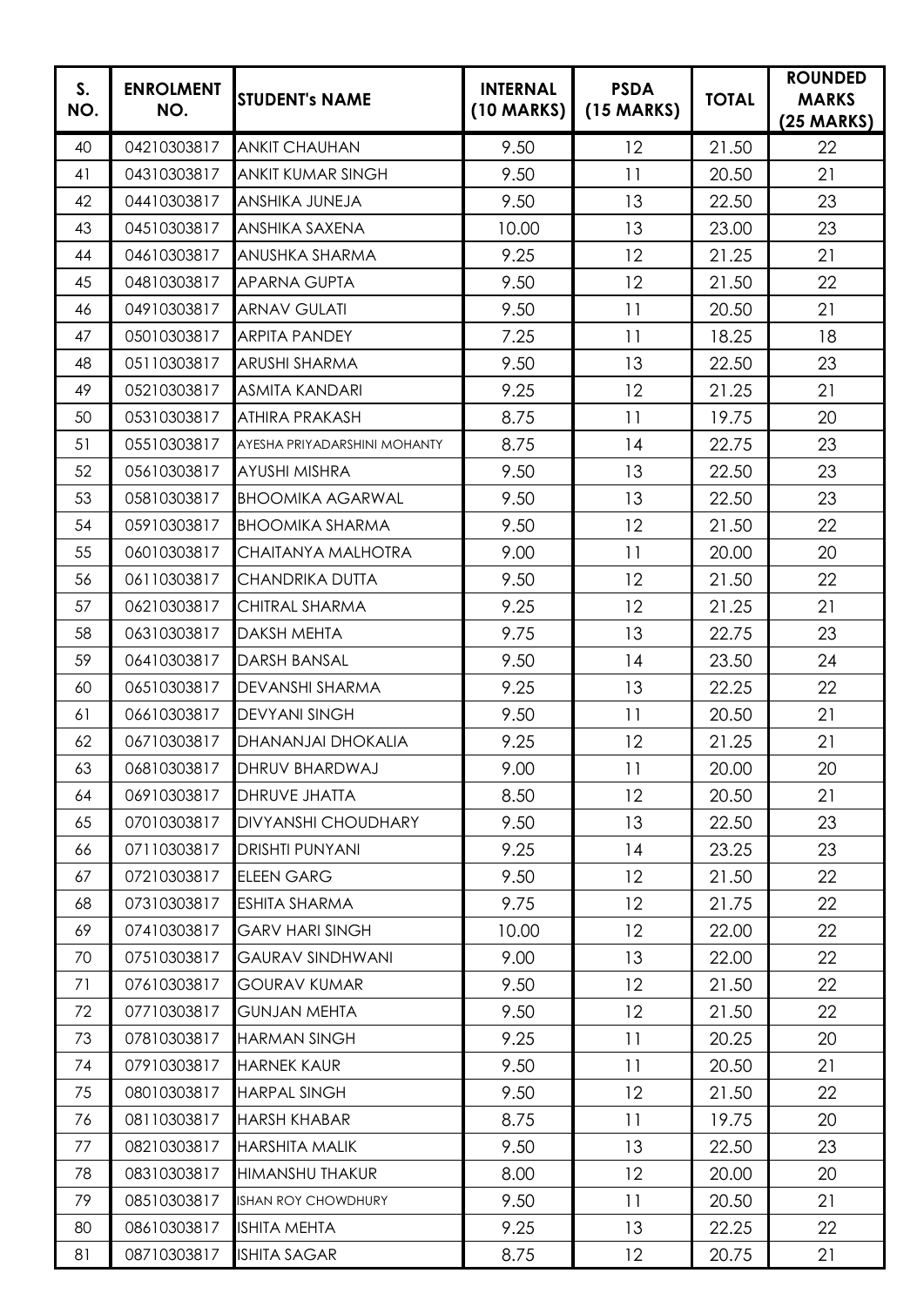| S.<br>NO. | <b>ENROLMENT</b><br>NO. | <b>STUDENT's NAME</b>        | <b>INTERNAL</b><br>(10 MARKS) | <b>PSDA</b><br>$(15$ MARKS) | <b>TOTAL</b> | <b>ROUNDED</b><br><b>MARKS</b><br>$(25 \text{ MARKS})$ |
|-----------|-------------------------|------------------------------|-------------------------------|-----------------------------|--------------|--------------------------------------------------------|
| 40        | 04210303817             | <b>ANKIT CHAUHAN</b>         | 9.50                          | 12                          | 21.50        | 22                                                     |
| 41        | 04310303817             | <b>ANKIT KUMAR SINGH</b>     | 9.50                          | 11                          | 20.50        | 21                                                     |
| 42        | 04410303817             | ANSHIKA JUNEJA               | 9.50                          | 13                          | 22.50        | 23                                                     |
| 43        | 04510303817             | <b>ANSHIKA SAXENA</b>        | 10.00                         | 13                          | 23.00        | 23                                                     |
| 44        | 04610303817             | <b>ANUSHKA SHARMA</b>        | 9.25                          | 12                          | 21.25        | 21                                                     |
| 45        | 04810303817             | <b>APARNA GUPTA</b>          | 9.50                          | 12                          | 21.50        | 22                                                     |
| 46        | 04910303817             | <b>ARNAV GULATI</b>          | 9.50                          | 11                          | 20.50        | 21                                                     |
| 47        | 05010303817             | <b>ARPITA PANDEY</b>         | 7.25                          | 11                          | 18.25        | 18                                                     |
| 48        | 05110303817             | <b>ARUSHI SHARMA</b>         | 9.50                          | 13                          | 22.50        | 23                                                     |
| 49        | 05210303817             | <b>ASMITA KANDARI</b>        | 9.25                          | 12                          | 21.25        | 21                                                     |
| 50        | 05310303817             | <b>ATHIRA PRAKASH</b>        | 8.75                          | 11                          | 19.75        | 20                                                     |
| 51        | 05510303817             | AYESHA PRIYADARSHINI MOHANTY | 8.75                          | 14                          | 22.75        | 23                                                     |
| 52        | 05610303817             | <b>AYUSHI MISHRA</b>         | 9.50                          | 13                          | 22.50        | 23                                                     |
| 53        | 05810303817             | <b>BHOOMIKA AGARWAL</b>      | 9.50                          | 13                          | 22.50        | 23                                                     |
| 54        | 05910303817             | <b>BHOOMIKA SHARMA</b>       | 9.50                          | 12                          | 21.50        | 22                                                     |
| 55        | 06010303817             | CHAITANYA MALHOTRA           | 9.00                          | 11                          | 20.00        | 20                                                     |
| 56        | 06110303817             | <b>CHANDRIKA DUTTA</b>       | 9.50                          | 12                          | 21.50        | 22                                                     |
| 57        | 06210303817             | CHITRAL SHARMA               | 9.25                          | 12                          | 21.25        | 21                                                     |
| 58        | 06310303817             | <b>DAKSH MEHTA</b>           | 9.75                          | 13                          | 22.75        | 23                                                     |
| 59        | 06410303817             | <b>DARSH BANSAL</b>          | 9.50                          | 14                          | 23.50        | 24                                                     |
| 60        | 06510303817             | <b>DEVANSHI SHARMA</b>       | 9.25                          | 13                          | 22.25        | 22                                                     |
| 61        | 06610303817             | <b>DEVYANI SINGH</b>         | 9.50                          | 11                          | 20.50        | 21                                                     |
| 62        | 06710303817             | <b>DHANANJAI DHOKALIA</b>    | 9.25                          | 12                          | 21.25        | 21                                                     |
| 63        | 06810303817             | DHRUV BHARDWAJ               | 9.00                          | 11                          | 20.00        | 20                                                     |
| 64        | 06910303817             | <b>DHRUVE JHATTA</b>         | 8.50                          | 12                          | 20.50        | 21                                                     |
| 65        | 07010303817             | <b>DIVYANSHI CHOUDHARY</b>   | 9.50                          | 13                          | 22.50        | 23                                                     |
| 66        | 07110303817             | <b>DRISHTI PUNYANI</b>       | 9.25                          | 14                          | 23.25        | 23                                                     |
| 67        | 07210303817             | <b>ELEEN GARG</b>            | 9.50                          | 12                          | 21.50        | 22                                                     |
| 68        | 07310303817             | <b>ESHITA SHARMA</b>         | 9.75                          | 12                          | 21.75        | 22                                                     |
| 69        | 07410303817             | <b>GARV HARI SINGH</b>       | 10.00                         | 12                          | 22.00        | 22                                                     |
| 70        | 07510303817             | <b>GAURAV SINDHWANI</b>      | 9.00                          | 13                          | 22.00        | 22                                                     |
| 71        | 07610303817             | <b>GOURAV KUMAR</b>          | 9.50                          | 12                          | 21.50        | 22                                                     |
| 72        | 07710303817             | <b>GUNJAN MEHTA</b>          | 9.50                          | 12                          | 21.50        | 22                                                     |
| 73        | 07810303817             | <b>HARMAN SINGH</b>          | 9.25                          | 11                          | 20.25        | 20                                                     |
| 74        | 07910303817             | <b>HARNEK KAUR</b>           | 9.50                          | 11                          | 20.50        | 21                                                     |
| 75        | 08010303817             | <b>HARPAL SINGH</b>          | 9.50                          | 12                          | 21.50        | 22                                                     |
| 76        | 08110303817             | <b>HARSH KHABAR</b>          | 8.75                          | 11                          | 19.75        | 20                                                     |
| 77        | 08210303817             | <b>HARSHITA MALIK</b>        | 9.50                          | 13                          | 22.50        | 23                                                     |
| 78        | 08310303817             | HIMANSHU THAKUR              | 8.00                          | 12                          | 20.00        | 20                                                     |
| 79        | 08510303817             | ISHAN ROY CHOWDHURY          | 9.50                          | 11                          | 20.50        | 21                                                     |
| 80        | 08610303817             | <b>ISHITA MEHTA</b>          | 9.25                          | 13                          | 22.25        | 22                                                     |
| 81        | 08710303817             | <b>ISHITA SAGAR</b>          | 8.75                          | 12                          | 20.75        | 21                                                     |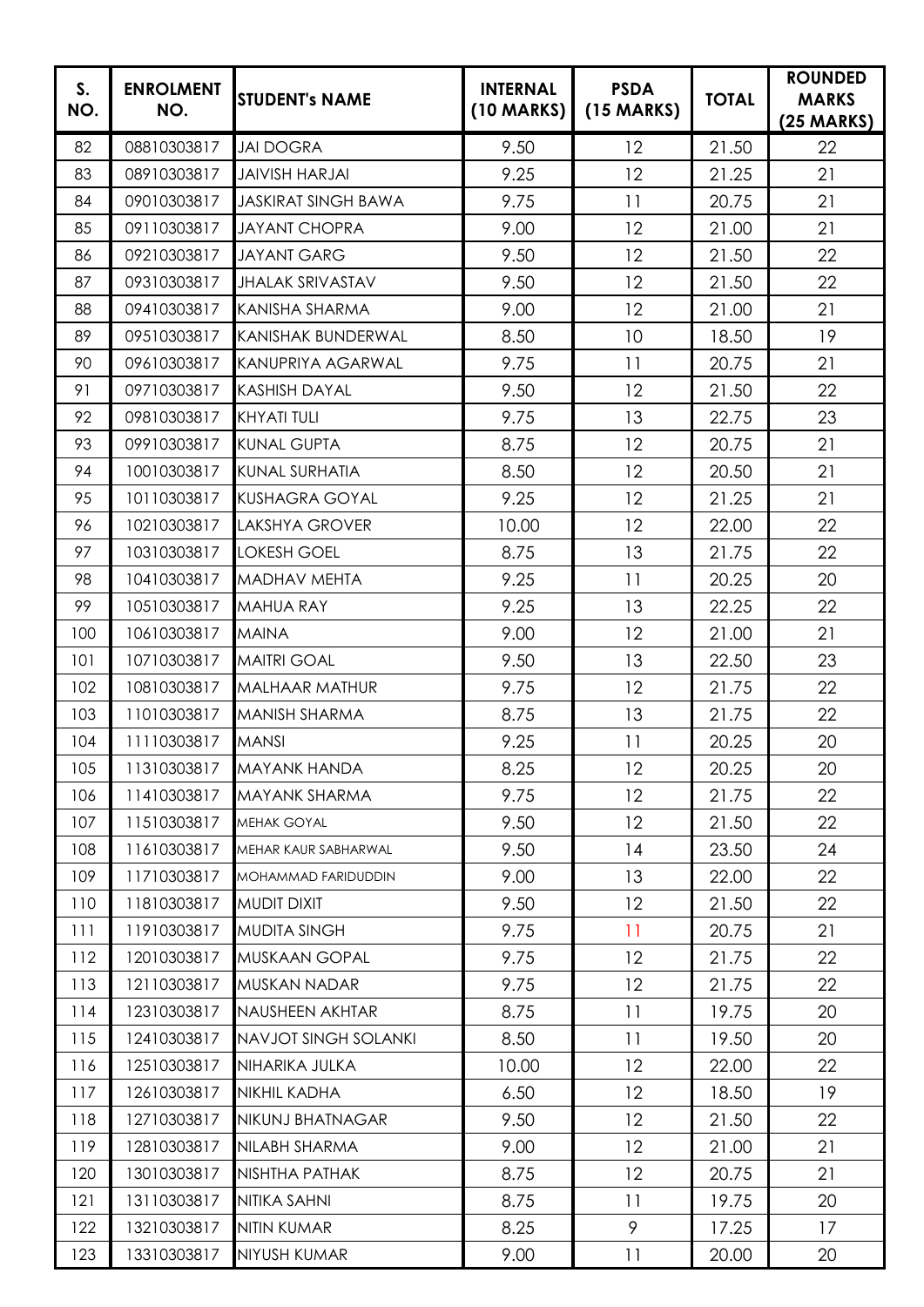| S.<br>NO. | <b>ENROLMENT</b><br>NO. | <b>STUDENT's NAME</b>       | <b>INTERNAL</b><br>$(10$ MARKS) | <b>PSDA</b><br>$(15$ MARKS) | <b>TOTAL</b> | <b>ROUNDED</b><br><b>MARKS</b><br>$(25 \text{ MARKS})$ |
|-----------|-------------------------|-----------------------------|---------------------------------|-----------------------------|--------------|--------------------------------------------------------|
| 82        | 08810303817             | <b>JAI DOGRA</b>            | 9.50                            | 12                          | 21.50        | 22                                                     |
| 83        | 08910303817             | <b>JAIVISH HARJAI</b>       | 9.25                            | 12                          | 21.25        | 21                                                     |
| 84        | 09010303817             | <b>JASKIRAT SINGH BAWA</b>  | 9.75                            | 11                          | 20.75        | 21                                                     |
| 85        | 09110303817             | <b>JAYANT CHOPRA</b>        | 9.00                            | 12                          | 21.00        | 21                                                     |
| 86        | 09210303817             | <b>JAYANT GARG</b>          | 9.50                            | 12                          | 21.50        | 22                                                     |
| 87        | 09310303817             | <b>JHALAK SRIVASTAV</b>     | 9.50                            | 12                          | 21.50        | 22                                                     |
| 88        | 09410303817             | <b>KANISHA SHARMA</b>       | 9.00                            | 12                          | 21.00        | 21                                                     |
| 89        | 09510303817             | <b>KANISHAK BUNDERWAL</b>   | 8.50                            | 10                          | 18.50        | 19                                                     |
| 90        | 09610303817             | KANUPRIYA AGARWAL           | 9.75                            | 11                          | 20.75        | 21                                                     |
| 91        | 09710303817             | <b>KASHISH DAYAL</b>        | 9.50                            | 12                          | 21.50        | 22                                                     |
| 92        | 09810303817             | <b>KHYATI TULI</b>          | 9.75                            | 13                          | 22.75        | 23                                                     |
| 93        | 09910303817             | <b>KUNAL GUPTA</b>          | 8.75                            | 12                          | 20.75        | 21                                                     |
| 94        | 10010303817             | <b>KUNAL SURHATIA</b>       | 8.50                            | 12                          | 20.50        | 21                                                     |
| 95        | 10110303817             | <b>KUSHAGRA GOYAL</b>       | 9.25                            | 12                          | 21.25        | 21                                                     |
| 96        | 10210303817             | <b>LAKSHYA GROVER</b>       | 10.00                           | 12                          | 22.00        | 22                                                     |
| 97        | 10310303817             | <b>LOKESH GOEL</b>          | 8.75                            | 13                          | 21.75        | 22                                                     |
| 98        | 10410303817             | <b>MADHAV MEHTA</b>         | 9.25                            | 11                          | 20.25        | 20                                                     |
| 99        | 10510303817             | <b>MAHUA RAY</b>            | 9.25                            | 13                          | 22.25        | 22                                                     |
| 100       | 10610303817             | <b>MAINA</b>                | 9.00                            | 12                          | 21.00        | 21                                                     |
| 101       | 10710303817             | <b>MAITRI GOAL</b>          | 9.50                            | 13                          | 22.50        | 23                                                     |
| 102       | 10810303817             | <b>MALHAAR MATHUR</b>       | 9.75                            | 12                          | 21.75        | 22                                                     |
| 103       | 11010303817             | MANISH SHARMA               | 8.75                            | 13                          | 21.75        | 22                                                     |
| 104       | 11110303817             | <b>MANSI</b>                | 9.25                            | 11                          | 20.25        | 20                                                     |
| 105       | 11310303817             | <b>MAYANK HANDA</b>         | 8.25                            | 12                          | 20.25        | 20                                                     |
| 106       | 11410303817             | <b>MAYANK SHARMA</b>        | 9.75                            | 12                          | 21.75        | 22                                                     |
| 107       | 11510303817             | <b>MEHAK GOYAL</b>          | 9.50                            | 12                          | 21.50        | 22                                                     |
| 108       | 11610303817             | MEHAR KAUR SABHARWAL        | 9.50                            | 14                          | 23.50        | 24                                                     |
| 109       | 11710303817             | MOHAMMAD FARIDUDDIN         | 9.00                            | 13                          | 22.00        | 22                                                     |
| 110       | 11810303817             | <b>MUDIT DIXIT</b>          | 9.50                            | 12                          | 21.50        | 22                                                     |
| 111       | 11910303817             | <b>MUDITA SINGH</b>         | 9.75                            | 11                          | 20.75        | 21                                                     |
| 112       | 12010303817             | <b>MUSKAAN GOPAL</b>        | 9.75                            | 12                          | 21.75        | 22                                                     |
| 113       | 12110303817             | MUSKAN NADAR                | 9.75                            | 12                          | 21.75        | 22                                                     |
| 114       | 12310303817             | NAUSHEEN AKHTAR             | 8.75                            | 11                          | 19.75        | 20                                                     |
| 115       | 12410303817             | <b>NAVJOT SINGH SOLANKI</b> | 8.50                            | 11                          | 19.50        | 20                                                     |
| 116       | 12510303817             | NIHARIKA JULKA              | 10.00                           | 12                          | 22.00        | 22                                                     |
| 117       | 12610303817             | <b>NIKHIL KADHA</b>         | 6.50                            | 12                          | 18.50        | 19                                                     |
| 118       | 12710303817             | NIKUNJ BHATNAGAR            | 9.50                            | 12                          | 21.50        | 22                                                     |
| 119       | 12810303817             | NILABH SHARMA               | 9.00                            | 12                          | 21.00        | 21                                                     |
| 120       | 13010303817             | NISHTHA PATHAK              | 8.75                            | 12                          | 20.75        | 21                                                     |
| 121       | 13110303817             | NITIKA SAHNI                | 8.75                            | 11                          | 19.75        | 20                                                     |
| 122       | 13210303817             | NITIN KUMAR                 | 8.25                            | 9                           | 17.25        | 17                                                     |
| 123       | 13310303817             | NIYUSH KUMAR                | 9.00                            | 11                          | 20.00        | 20                                                     |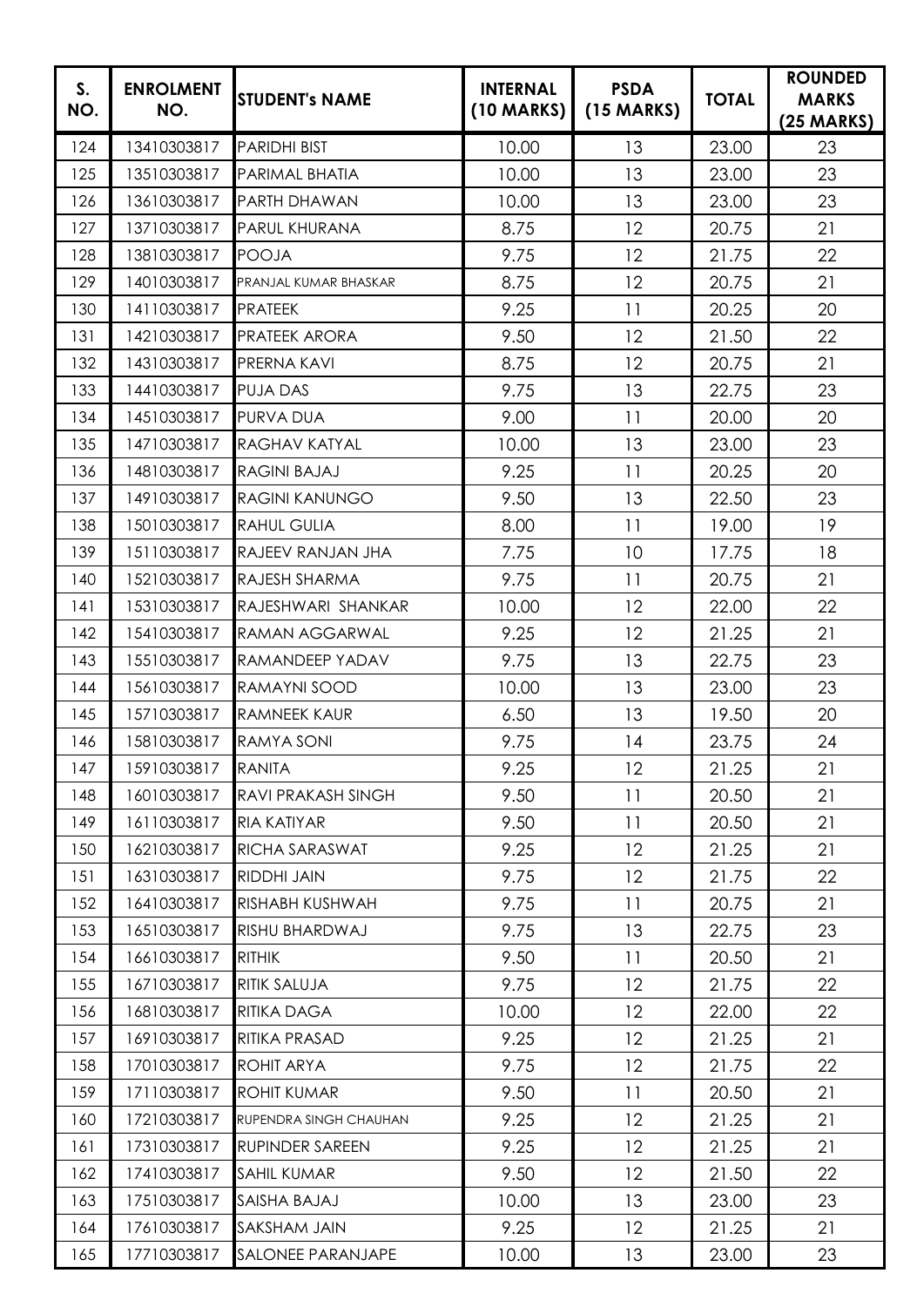| S.<br>NO. | <b>ENROLMENT</b><br>NO. | <b>STUDENT's NAME</b>  | <b>INTERNAL</b><br>$(10$ MARKS) | <b>PSDA</b><br>$(15$ MARKS) | <b>TOTAL</b> | <b>ROUNDED</b><br><b>MARKS</b><br>$(25 \text{ MARKS})$ |
|-----------|-------------------------|------------------------|---------------------------------|-----------------------------|--------------|--------------------------------------------------------|
| 124       | 13410303817             | <b>PARIDHI BIST</b>    | 10.00                           | 13                          | 23.00        | 23                                                     |
| 125       | 13510303817             | PARIMAL BHATIA         | 10.00                           | 13                          | 23.00        | 23                                                     |
| 126       | 13610303817             | PARTH DHAWAN           | 10.00                           | 13                          | 23.00        | 23                                                     |
| 127       | 13710303817             | PARUL KHURANA          | 8.75                            | 12                          | 20.75        | 21                                                     |
| 128       | 13810303817             | <b>POOJA</b>           | 9.75                            | 12                          | 21.75        | 22                                                     |
| 129       | 14010303817             | PRANJAL KUMAR BHASKAR  | 8.75                            | 12                          | 20.75        | 21                                                     |
| 130       | 14110303817             | <b>PRATEEK</b>         | 9.25                            | 11                          | 20.25        | 20                                                     |
| 131       | 14210303817             | <b>PRATEEK ARORA</b>   | 9.50                            | 12                          | 21.50        | 22                                                     |
| 132       | 14310303817             | PRERNA KAVI            | 8.75                            | 12                          | 20.75        | 21                                                     |
| 133       | 14410303817             | <b>PUJA DAS</b>        | 9.75                            | 13                          | 22.75        | 23                                                     |
| 134       | 14510303817             | PURVA DUA              | 9.00                            | 11                          | 20.00        | 20                                                     |
| 135       | 14710303817             | <b>RAGHAV KATYAL</b>   | 10.00                           | 13                          | 23.00        | 23                                                     |
| 136       | 14810303817             | <b>RAGINI BAJAJ</b>    | 9.25                            | 11                          | 20.25        | 20                                                     |
| 137       | 14910303817             | <b>RAGINI KANUNGO</b>  | 9.50                            | 13                          | 22.50        | 23                                                     |
| 138       | 15010303817             | <b>RAHUL GULIA</b>     | 8.00                            | 11                          | 19.00        | 19                                                     |
| 139       | 15110303817             | RAJEEV RANJAN JHA      | 7.75                            | 10                          | 17.75        | 18                                                     |
| 140       | 15210303817             | RAJESH SHARMA          | 9.75                            | 11                          | 20.75        | 21                                                     |
| 141       | 15310303817             | RAJESHWARI SHANKAR     | 10.00                           | 12                          | 22.00        | 22                                                     |
| 142       | 15410303817             | <b>RAMAN AGGARWAL</b>  | 9.25                            | 12                          | 21.25        | 21                                                     |
| 143       | 15510303817             | RAMANDEEP YADAV        | 9.75                            | 13                          | 22.75        | 23                                                     |
| 144       | 15610303817             | RAMAYNI SOOD           | 10.00                           | 13                          | 23.00        | 23                                                     |
| 145       | 15710303817             | <b>RAMNEEK KAUR</b>    | 6.50                            | 13                          | 19.50        | 20                                                     |
| 146       | 15810303817             | <b>RAMYA SONI</b>      | 9.75                            | 14                          | 23.75        | 24                                                     |
| 147       | 15910303817             | <b>RANITA</b>          | 9.25                            | 12                          | 21.25        | 21                                                     |
| 148       | 16010303817             | RAVI PRAKASH SINGH     | 9.50                            | 11                          | 20.50        | 21                                                     |
| 149       | 16110303817             | <b>RIA KATIYAR</b>     | 9.50                            | 11                          | 20.50        | 21                                                     |
| 150       | 16210303817             | RICHA SARASWAT         | 9.25                            | 12                          | 21.25        | 21                                                     |
| 151       | 16310303817             | RIDDHI JAIN            | 9.75                            | 12                          | 21.75        | 22                                                     |
| 152       | 16410303817             | RISHABH KUSHWAH        | 9.75                            | 11                          | 20.75        | 21                                                     |
| 153       | 16510303817             | RISHU BHARDWAJ         | 9.75                            | 13                          | 22.75        | 23                                                     |
| 154       | 16610303817             | <b>RITHIK</b>          | 9.50                            | 11                          | 20.50        | 21                                                     |
| 155       | 16710303817             | RITIK SALUJA           | 9.75                            | 12                          | 21.75        | 22                                                     |
| 156       | 16810303817             | RITIKA DAGA            | 10.00                           | 12                          | 22.00        | 22                                                     |
| 157       | 16910303817             | RITIKA PRASAD          | 9.25                            | 12                          | 21.25        | 21                                                     |
| 158       | 17010303817             | ROHIT ARYA             | 9.75                            | 12                          | 21.75        | 22                                                     |
| 159       | 17110303817             | <b>ROHIT KUMAR</b>     | 9.50                            | 11                          | 20.50        | 21                                                     |
| 160       | 17210303817             | RUPENDRA SINGH CHAUHAN | 9.25                            | 12                          | 21.25        | 21                                                     |
| 161       | 17310303817             | <b>RUPINDER SAREEN</b> | 9.25                            | 12                          | 21.25        | 21                                                     |
| 162       | 17410303817             | <b>SAHIL KUMAR</b>     | 9.50                            | 12                          | 21.50        | 22                                                     |
| 163       | 17510303817             | SAISHA BAJAJ           | 10.00                           | 13                          | 23.00        | 23                                                     |
| 164       | 17610303817             | SAKSHAM JAIN           | 9.25                            | 12                          | 21.25        | 21                                                     |
| 165       | 17710303817             | SALONEE PARANJAPE      | 10.00                           | 13                          | 23.00        | 23                                                     |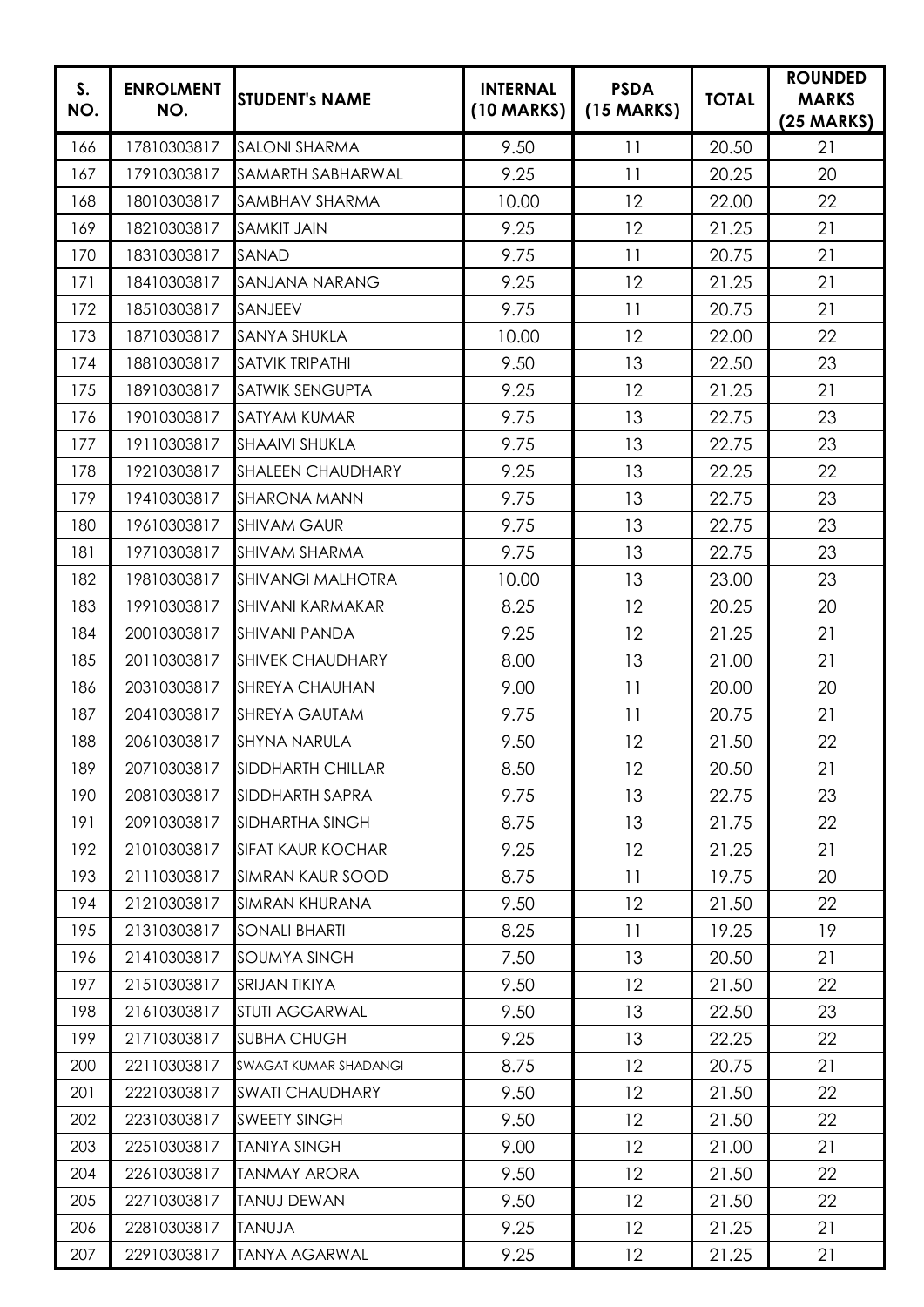| S.<br>NO. | <b>ENROLMENT</b><br>NO. | <b>STUDENT's NAME</b>    | <b>INTERNAL</b><br>(10 MARKS) | <b>PSDA</b><br>$(15$ MARKS) | <b>TOTAL</b> | <b>ROUNDED</b><br><b>MARKS</b><br>$(25 \text{ MARKS})$ |
|-----------|-------------------------|--------------------------|-------------------------------|-----------------------------|--------------|--------------------------------------------------------|
| 166       | 17810303817             | <b>SALONI SHARMA</b>     | 9.50                          | 11                          | 20.50        | 21                                                     |
| 167       | 17910303817             | SAMARTH SABHARWAL        | 9.25                          | 11                          | 20.25        | 20                                                     |
| 168       | 18010303817             | SAMBHAV SHARMA           | 10.00                         | 12                          | 22.00        | 22                                                     |
| 169       | 18210303817             | <b>SAMKIT JAIN</b>       | 9.25                          | 12                          | 21.25        | 21                                                     |
| 170       | 18310303817             | SANAD                    | 9.75                          | 11                          | 20.75        | 21                                                     |
| 171       | 18410303817             | <b>SANJANA NARANG</b>    | 9.25                          | 12                          | 21.25        | 21                                                     |
| 172       | 18510303817             | SANJEEV                  | 9.75                          | 11                          | 20.75        | 21                                                     |
| 173       | 18710303817             | <b>SANYA SHUKLA</b>      | 10.00                         | 12                          | 22.00        | 22                                                     |
| 174       | 18810303817             | <b>SATVIK TRIPATHI</b>   | 9.50                          | 13                          | 22.50        | 23                                                     |
| 175       | 18910303817             | <b>SATWIK SENGUPTA</b>   | 9.25                          | 12                          | 21.25        | 21                                                     |
| 176       | 19010303817             | <b>SATYAM KUMAR</b>      | 9.75                          | 13                          | 22.75        | 23                                                     |
| 177       | 19110303817             | <b>SHAAIVI SHUKLA</b>    | 9.75                          | 13                          | 22.75        | 23                                                     |
| 178       | 19210303817             | <b>SHALEEN CHAUDHARY</b> | 9.25                          | 13                          | 22.25        | 22                                                     |
| 179       | 19410303817             | <b>SHARONA MANN</b>      | 9.75                          | 13                          | 22.75        | 23                                                     |
| 180       | 19610303817             | <b>SHIVAM GAUR</b>       | 9.75                          | 13                          | 22.75        | 23                                                     |
| 181       | 19710303817             | <b>SHIVAM SHARMA</b>     | 9.75                          | 13                          | 22.75        | 23                                                     |
| 182       | 19810303817             | <b>SHIVANGI MALHOTRA</b> | 10.00                         | 13                          | 23.00        | 23                                                     |
| 183       | 19910303817             | <b>SHIVANI KARMAKAR</b>  | 8.25                          | 12                          | 20.25        | 20                                                     |
| 184       | 20010303817             | <b>SHIVANI PANDA</b>     | 9.25                          | 12                          | 21.25        | 21                                                     |
| 185       | 20110303817             | <b>SHIVEK CHAUDHARY</b>  | 8.00                          | 13                          | 21.00        | 21                                                     |
| 186       | 20310303817             | <b>SHREYA CHAUHAN</b>    | 9.00                          | 11                          | 20.00        | 20                                                     |
| 187       | 20410303817             | <b>SHREYA GAUTAM</b>     | 9.75                          | 11                          | 20.75        | 21                                                     |
| 188       | 20610303817             | <b>SHYNA NARULA</b>      | 9.50                          | 12                          | 21.50        | 22                                                     |
| 189       | 20710303817             | <b>SIDDHARTH CHILLAR</b> | 8.50                          | 12                          | 20.50        | 21                                                     |
| 190       | 20810303817             | SIDDHARTH SAPRA          | 9.75                          | 13                          | 22.75        | 23                                                     |
| 191       | 20910303817             | SIDHARTHA SINGH          | 8.75                          | 13                          | 21.75        | 22                                                     |
| 192       | 21010303817             | <b>SIFAT KAUR KOCHAR</b> | 9.25                          | 12                          | 21.25        | 21                                                     |
| 193       | 21110303817             | <b>SIMRAN KAUR SOOD</b>  | 8.75                          | 11                          | 19.75        | 20                                                     |
| 194       | 21210303817             | <b>SIMRAN KHURANA</b>    | 9.50                          | 12                          | 21.50        | 22                                                     |
| 195       | 21310303817             | <b>SONALI BHARTI</b>     | 8.25                          | 11                          | 19.25        | 19                                                     |
| 196       | 21410303817             | <b>SOUMYA SINGH</b>      | 7.50                          | 13                          | 20.50        | 21                                                     |
| 197       | 21510303817             | SRIJAN TIKIYA            | 9.50                          | 12                          | 21.50        | 22                                                     |
| 198       | 21610303817             | <b>STUTI AGGARWAL</b>    | 9.50                          | 13                          | 22.50        | 23                                                     |
| 199       | 21710303817             | <b>SUBHA CHUGH</b>       | 9.25                          | 13                          | 22.25        | 22                                                     |
| 200       | 22110303817             | SWAGAT KUMAR SHADANGI    | 8.75                          | 12                          | 20.75        | 21                                                     |
| 201       | 22210303817             | <b>SWATI CHAUDHARY</b>   | 9.50                          | 12                          | 21.50        | 22                                                     |
| 202       | 22310303817             | <b>SWEETY SINGH</b>      | 9.50                          | 12                          | 21.50        | 22                                                     |
| 203       | 22510303817             | <b>TANIYA SINGH</b>      | 9.00                          | 12                          | 21.00        | 21                                                     |
| 204       | 22610303817             | <b>TANMAY ARORA</b>      | 9.50                          | 12                          | 21.50        | 22                                                     |
| 205       | 22710303817             | <b>TANUJ DEWAN</b>       | 9.50                          | 12                          | 21.50        | 22                                                     |
| 206       | 22810303817             | <b>ALUVAT</b>            | 9.25                          | 12                          | 21.25        | 21                                                     |
| 207       | 22910303817             | <b>TANYA AGARWAL</b>     | 9.25                          | 12                          | 21.25        | 21                                                     |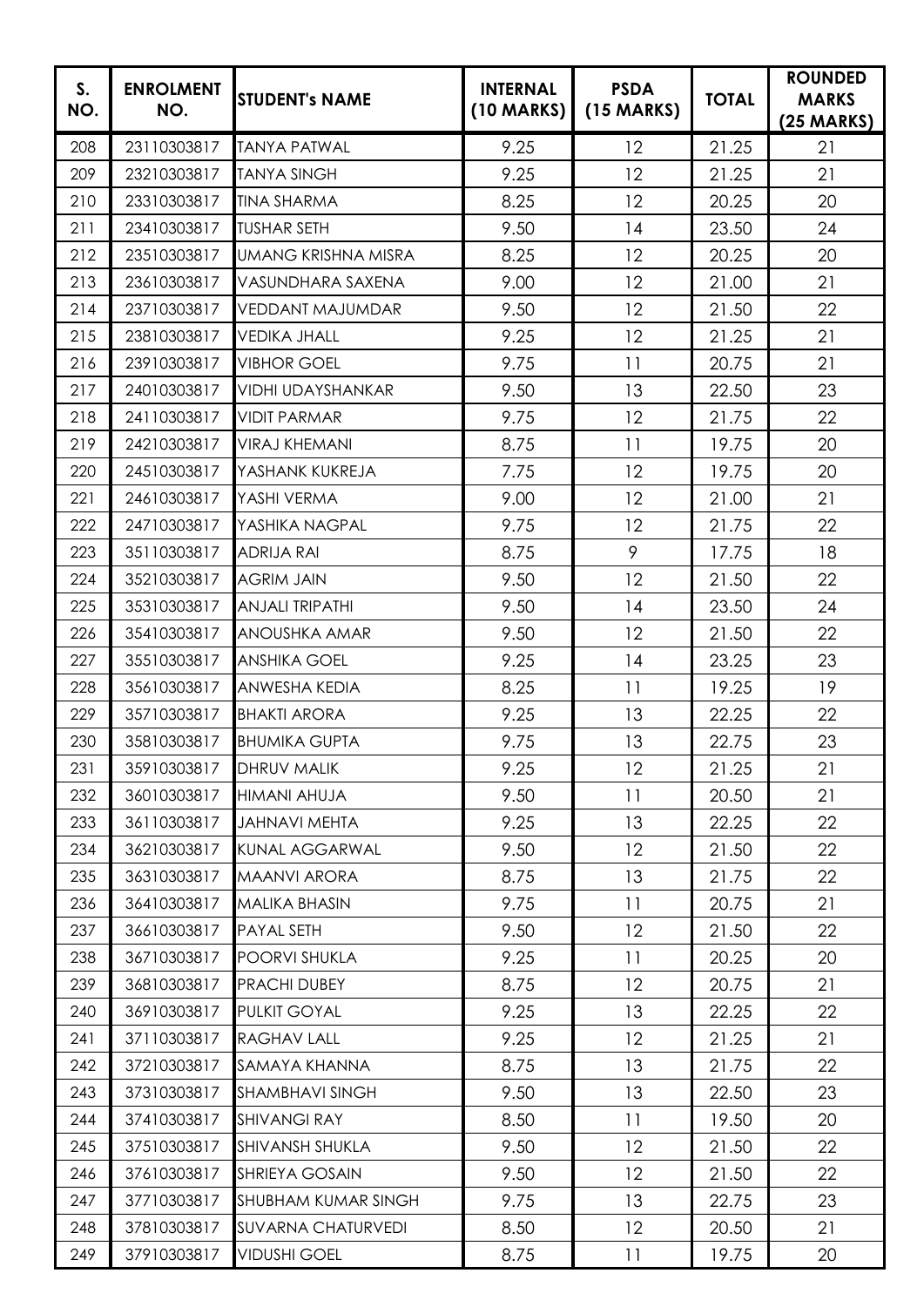| S.<br>NO. | <b>ENROLMENT</b><br>NO. | <b>STUDENT's NAME</b>      | <b>INTERNAL</b><br>(10 MARKS) | <b>PSDA</b><br>$(15$ MARKS) | <b>TOTAL</b> | <b>ROUNDED</b><br><b>MARKS</b><br>$(25 \text{ MARKS})$ |
|-----------|-------------------------|----------------------------|-------------------------------|-----------------------------|--------------|--------------------------------------------------------|
| 208       | 23110303817             | <b>TANYA PATWAL</b>        | 9.25                          | 12                          | 21.25        | 21                                                     |
| 209       | 23210303817             | <b>TANYA SINGH</b>         | 9.25                          | 12                          | 21.25        | 21                                                     |
| 210       | 23310303817             | <b>TINA SHARMA</b>         | 8.25                          | 12                          | 20.25        | 20                                                     |
| 211       | 23410303817             | <b>TUSHAR SETH</b>         | 9.50                          | 14                          | 23.50        | 24                                                     |
| 212       | 23510303817             | <b>UMANG KRISHNA MISRA</b> | 8.25                          | 12                          | 20.25        | 20                                                     |
| 213       | 23610303817             | VASUNDHARA SAXENA          | 9.00                          | 12                          | 21.00        | 21                                                     |
| 214       | 23710303817             | <b>VEDDANT MAJUMDAR</b>    | 9.50                          | 12                          | 21.50        | 22                                                     |
| 215       | 23810303817             | <b>VEDIKA JHALL</b>        | 9.25                          | 12                          | 21.25        | 21                                                     |
| 216       | 23910303817             | <b>VIBHOR GOEL</b>         | 9.75                          | 11                          | 20.75        | 21                                                     |
| 217       | 24010303817             | <b>VIDHI UDAYSHANKAR</b>   | 9.50                          | 13                          | 22.50        | 23                                                     |
| 218       | 24110303817             | <b>VIDIT PARMAR</b>        | 9.75                          | 12                          | 21.75        | 22                                                     |
| 219       | 24210303817             | <b>VIRAJ KHEMANI</b>       | 8.75                          | 11                          | 19.75        | 20                                                     |
| 220       | 24510303817             | YASHANK KUKREJA            | 7.75                          | 12                          | 19.75        | 20                                                     |
| 221       | 24610303817             | YASHI VERMA                | 9.00                          | 12                          | 21.00        | 21                                                     |
| 222       | 24710303817             | YASHIKA NAGPAL             | 9.75                          | 12                          | 21.75        | 22                                                     |
| 223       | 35110303817             | <b>ADRIJA RAI</b>          | 8.75                          | 9                           | 17.75        | 18                                                     |
| 224       | 35210303817             | <b>AGRIM JAIN</b>          | 9.50                          | 12                          | 21.50        | 22                                                     |
| 225       | 35310303817             | <b>ANJALI TRIPATHI</b>     | 9.50                          | 14                          | 23.50        | 24                                                     |
| 226       | 35410303817             | <b>ANOUSHKA AMAR</b>       | 9.50                          | 12                          | 21.50        | 22                                                     |
| 227       | 35510303817             | <b>ANSHIKA GOEL</b>        | 9.25                          | 14                          | 23.25        | 23                                                     |
| 228       | 35610303817             | <b>ANWESHA KEDIA</b>       | 8.25                          | 11                          | 19.25        | 19                                                     |
| 229       | 35710303817             | <b>BHAKTI ARORA</b>        | 9.25                          | 13                          | 22.25        | 22                                                     |
| 230       | 35810303817             | <b>BHUMIKA GUPTA</b>       | 9.75                          | 13                          | 22.75        | 23                                                     |
| 231       | 35910303817             | <b>DHRUV MALIK</b>         | 9.25                          | 12                          | 21.25        | 21                                                     |
| 232       | 36010303817             | HIMANI AHUJA               | 9.50                          | 11                          | 20.50        | 21                                                     |
| 233       | 36110303817             | <b>JAHNAVI MEHTA</b>       | 9.25                          | 13                          | 22.25        | 22                                                     |
| 234       | 36210303817             | <b>KUNAL AGGARWAL</b>      | 9.50                          | 12                          | 21.50        | 22                                                     |
| 235       | 36310303817             | <b>MAANVI ARORA</b>        | 8.75                          | 13                          | 21.75        | 22                                                     |
| 236       | 36410303817             | <b>MALIKA BHASIN</b>       | 9.75                          | 11                          | 20.75        | 21                                                     |
| 237       | 36610303817             | <b>PAYAL SETH</b>          | 9.50                          | 12                          | 21.50        | 22                                                     |
| 238       | 36710303817             | POORVI SHUKLA              | 9.25                          | 11                          | 20.25        | 20                                                     |
| 239       | 36810303817             | PRACHI DUBEY               | 8.75                          | 12                          | 20.75        | 21                                                     |
| 240       | 36910303817             | PULKIT GOYAL               | 9.25                          | 13                          | 22.25        | 22                                                     |
| 241       | 37110303817             | RAGHAV LALL                | 9.25                          | 12                          | 21.25        | 21                                                     |
| 242       | 37210303817             | SAMAYA KHANNA              | 8.75                          | 13                          | 21.75        | 22                                                     |
| 243       | 37310303817             | <b>SHAMBHAVI SINGH</b>     | 9.50                          | 13                          | 22.50        | 23                                                     |
| 244       | 37410303817             | <b>SHIVANGI RAY</b>        | 8.50                          | 11                          | 19.50        | 20                                                     |
| 245       | 37510303817             | <b>SHIVANSH SHUKLA</b>     | 9.50                          | 12                          | 21.50        | 22                                                     |
| 246       | 37610303817             | <b>SHRIEYA GOSAIN</b>      | 9.50                          | 12                          | 21.50        | 22                                                     |
| 247       | 37710303817             | <b>SHUBHAM KUMAR SINGH</b> | 9.75                          | 13                          | 22.75        | 23                                                     |
| 248       | 37810303817             | <b>SUVARNA CHATURVEDI</b>  | 8.50                          | 12                          | 20.50        | 21                                                     |
| 249       | 37910303817             | <b>VIDUSHI GOEL</b>        | 8.75                          | 11                          | 19.75        | 20                                                     |